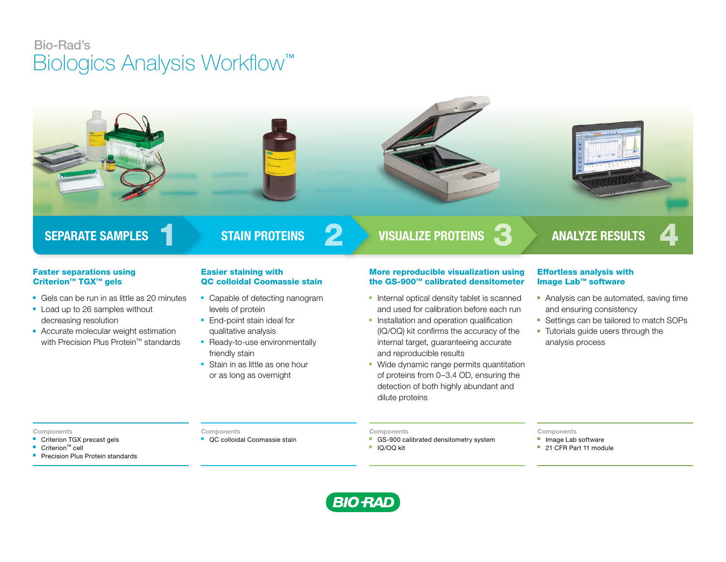# Bio-Rad's Biologics Analysis Workflow™



### Faster separations using Criterion™ TGX™ gels

- Gels can be run in as little as 20 minutes
- Load up to 26 samples without decreasing resolution
- Accurate molecular weight estimation with Precision Plus Protein™ standards

# Easier staining with QC colloidal Coomassie stain

- Capable of detecting nanogram levels of protein
- End-point stain ideal for qualitative analysis
- Ready-to-use environmentally friendly stain
- Stain in as little as one hour or as long as overnight

# More reproducible visualization using the GS-900™ calibrated densitometer

- Internal optical density tablet is scanned and used for calibration before each run
- **-** Installation and operation qualification (IQ/OQ) kit confirms the accuracy of the internal target, guaranteeing accurate and reproducible results
- Wide dynamic range permits quantitation of proteins from 0–3.4 OD, ensuring the detection of both highly abundant and dilute proteins

## Effortless analysis with Image Lab™ software

- Analysis can be automated, saving time and ensuring consistency
- Settings can be tailored to match SOPs
- Tutorials guide users through the analysis process

#### Components

- Criterion TGX precast gels
- Criterion™ cell
- Precision Plus Protein standards

#### **Components**

■ QC colloidal Coomassie stain

#### Components

- GS-900 calibrated densitometry system
- IQ/OQ kit

#### Components

- Image Lab software
- 21 CFR Part 11 module